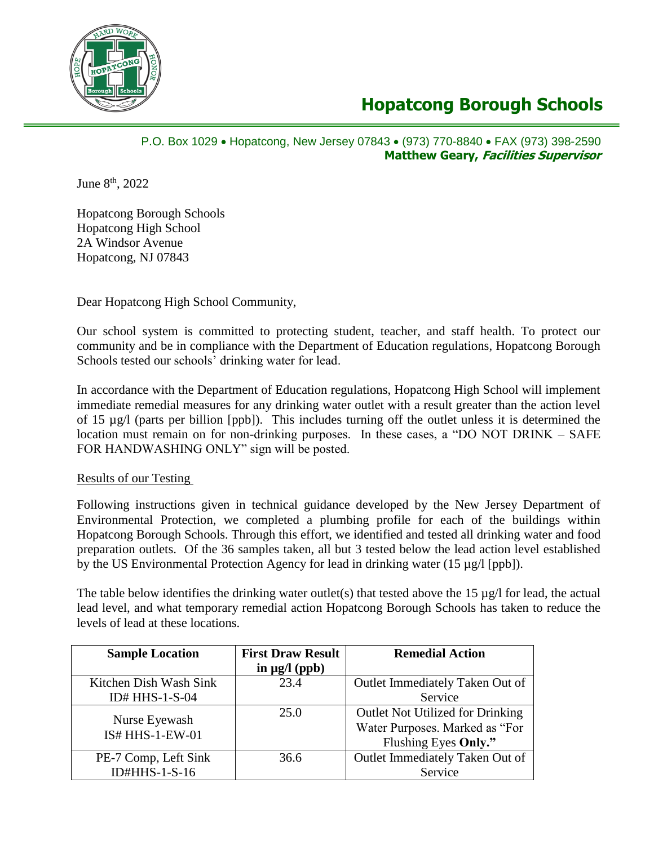

## **Hopatcong Borough Schools**

#### P.O. Box 1029 • Hopatcong, New Jersey 07843 • (973) 770-8840 • FAX (973) 398-2590 **Matthew Geary, Facilities Supervisor**

June 8<sup>th</sup>, 2022

Hopatcong Borough Schools Hopatcong High School 2A Windsor Avenue Hopatcong, NJ 07843

Dear Hopatcong High School Community,

Our school system is committed to protecting student, teacher, and staff health. To protect our community and be in compliance with the Department of Education regulations, Hopatcong Borough Schools tested our schools' drinking water for lead.

In accordance with the Department of Education regulations, Hopatcong High School will implement immediate remedial measures for any drinking water outlet with a result greater than the action level of 15 µg/l (parts per billion [ppb]). This includes turning off the outlet unless it is determined the location must remain on for non-drinking purposes. In these cases, a "DO NOT DRINK – SAFE FOR HANDWASHING ONLY" sign will be posted.

#### Results of our Testing

Following instructions given in technical guidance developed by the New Jersey Department of Environmental Protection, we completed a plumbing profile for each of the buildings within Hopatcong Borough Schools. Through this effort, we identified and tested all drinking water and food preparation outlets. Of the 36 samples taken, all but 3 tested below the lead action level established by the US Environmental Protection Agency for lead in drinking water (15 µg/l [ppb]).

The table below identifies the drinking water outlet(s) that tested above the 15  $\mu$ g/l for lead, the actual lead level, and what temporary remedial action Hopatcong Borough Schools has taken to reduce the levels of lead at these locations.

| <b>Sample Location</b>           | <b>First Draw Result</b> | <b>Remedial Action</b>                  |
|----------------------------------|--------------------------|-----------------------------------------|
|                                  | in $\mu$ g/l (ppb)       |                                         |
| Kitchen Dish Wash Sink           | 23.4                     | Outlet Immediately Taken Out of         |
| ID# HHS-1-S-04                   |                          | Service                                 |
|                                  | 25.0                     | <b>Outlet Not Utilized for Drinking</b> |
| Nurse Eyewash<br>IS# HHS-1-EW-01 |                          | Water Purposes. Marked as "For          |
|                                  |                          | Flushing Eyes Only."                    |
| PE-7 Comp, Left Sink             | 36.6                     | Outlet Immediately Taken Out of         |
| <b>ID#HHS-1-S-16</b>             |                          | Service                                 |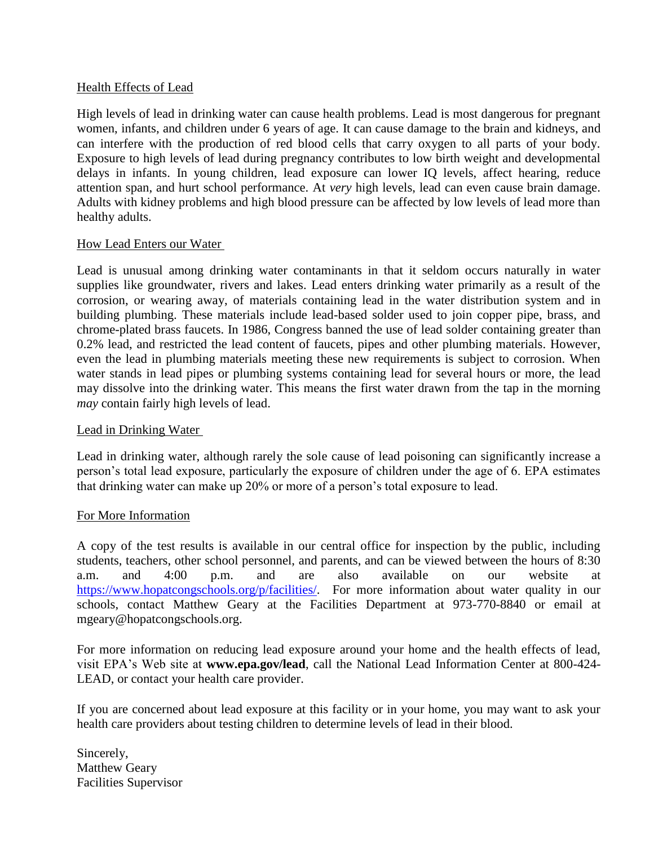#### Health Effects of Lead

High levels of lead in drinking water can cause health problems. Lead is most dangerous for pregnant women, infants, and children under 6 years of age. It can cause damage to the brain and kidneys, and can interfere with the production of red blood cells that carry oxygen to all parts of your body. Exposure to high levels of lead during pregnancy contributes to low birth weight and developmental delays in infants. In young children, lead exposure can lower IQ levels, affect hearing, reduce attention span, and hurt school performance. At *very* high levels, lead can even cause brain damage. Adults with kidney problems and high blood pressure can be affected by low levels of lead more than healthy adults.

#### How Lead Enters our Water

Lead is unusual among drinking water contaminants in that it seldom occurs naturally in water supplies like groundwater, rivers and lakes. Lead enters drinking water primarily as a result of the corrosion, or wearing away, of materials containing lead in the water distribution system and in building plumbing. These materials include lead-based solder used to join copper pipe, brass, and chrome-plated brass faucets. In 1986, Congress banned the use of lead solder containing greater than 0.2% lead, and restricted the lead content of faucets, pipes and other plumbing materials. However, even the lead in plumbing materials meeting these new requirements is subject to corrosion. When water stands in lead pipes or plumbing systems containing lead for several hours or more, the lead may dissolve into the drinking water. This means the first water drawn from the tap in the morning *may* contain fairly high levels of lead.

#### Lead in Drinking Water

Lead in drinking water, although rarely the sole cause of lead poisoning can significantly increase a person's total lead exposure, particularly the exposure of children under the age of 6. EPA estimates that drinking water can make up 20% or more of a person's total exposure to lead.

#### For More Information

A copy of the test results is available in our central office for inspection by the public, including students, teachers, other school personnel, and parents, and can be viewed between the hours of 8:30 a.m. and 4:00 p.m. and are also available on our website at [https://www.hopatcongschools.org/p/facilities/.](https://www.hopatcongschools.org/p/facilities/) For more information about water quality in our schools, contact Matthew Geary at the Facilities Department at 973-770-8840 or email at mgeary@hopatcongschools.org.

For more information on reducing lead exposure around your home and the health effects of lead, visit EPA's Web site at **www.epa.gov/lead**, call the National Lead Information Center at 800-424- LEAD, or contact your health care provider.

If you are concerned about lead exposure at this facility or in your home, you may want to ask your health care providers about testing children to determine levels of lead in their blood.

Sincerely, Matthew Geary Facilities Supervisor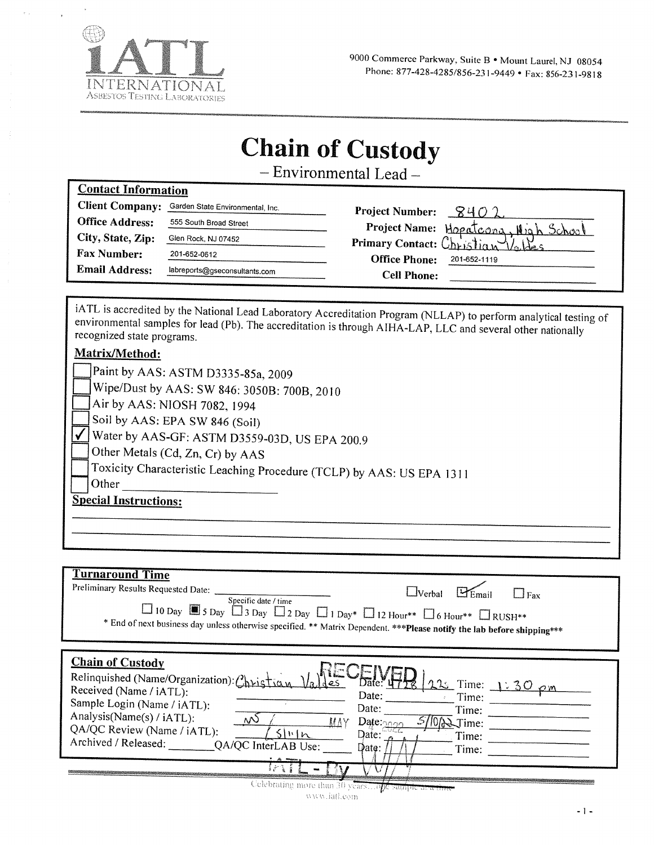

## **Chain of Custody**

- Environmental Lead-

| <b>Contact Information</b> |                                  |                                      |
|----------------------------|----------------------------------|--------------------------------------|
| <b>Client Company:</b>     | Garden State Environmental, Inc. | <b>Project Number:</b><br>$8402.$    |
| <b>Office Address:</b>     | 555 South Broad Street           | Project Name: Hopatcona, High School |
| City, State, Zip:          | Glen Rock, NJ 07452              | Primary Contact: Christian Voltes    |
| <b>Fax Number:</b>         | 201-652-0612                     | <b>Office Phone:</b><br>201-652-1119 |
| <b>Email Address:</b>      | labreports@gseconsultants.com    | <b>Cell Phone:</b>                   |
|                            |                                  |                                      |

iATL is accredited by the National Lead Laboratory Accreditation Program (NLLAP) to perform analytical testing of environmental samples for lead (Pb). The accreditation is through AIHA-LAP, LLC and several other nationally recognized state programs.

### Matrix/Method:

| Paint by AAS: ASTM D3335-85a, 2009                                    |
|-----------------------------------------------------------------------|
| Wipe/Dust by AAS: SW 846: 3050B: 700B, 2010                           |
| Air by AAS: NIOSH 7082, 1994                                          |
| Soil by AAS: EPA SW 846 (Soil)                                        |
| Water by AAS-GF: ASTM D3559-03D, US EPA 200.9                         |
| Other Metals (Cd, Zn, Cr) by AAS                                      |
| Toxicity Characteristic Leaching Procedure (TCLP) by AAS: US EPA 1311 |
| Other                                                                 |
| <b>Special Instructions:</b>                                          |
|                                                                       |
|                                                                       |

## **Turnaround Time**

| Preliminary Results Requested Date:<br>Specific date / time<br>$\Box$ 10 Day $\Box$ 5 Day $\Box$ 3 Day $\Box$ 2 Day $\Box$ 1 Day* $\Box$ 12 Hour** $\Box$ 6 Hour** $\Box$ RUSH**<br>* End of next business day unless otherwise specified. ** Matrix Dependent. *** Please notify the lab before shipping***               | __lVerbal<br>__l Fax                                                                                                                                                              |
|----------------------------------------------------------------------------------------------------------------------------------------------------------------------------------------------------------------------------------------------------------------------------------------------------------------------------|-----------------------------------------------------------------------------------------------------------------------------------------------------------------------------------|
| <b>Chain of Custody</b><br>Relinquished (Name/Organization): Christian<br>Received (Name / iATL):<br>Sample Login (Name / iATL):<br>Analysis(Name(s) / iATL):<br>۸N)<br>МЛ<br>QA/QC Review (Name / iATL):<br>S  v <br>Archived / Released:<br>QA/QC InterLAB Use:<br>" At wagon<br>Uclebrating more thun 30 years 2500 met | $\sigma$ ate. $\mathbf{u}$<br>$1225$ Time: 1:30<br>Date:<br>Time:<br>Date:<br>Time:<br>$\text{D}$ ate: $\frac{1}{2022}$<br>$\mathcal{I}$ ime:<br>Date:<br>Time:<br>Date:<br>Time: |

 $\mathfrak{m}{\phi}{\phi},\mathfrak{f}{\mathrm{ini}},\mathfrak{W}{\mathcal{U}}\mathfrak{V}$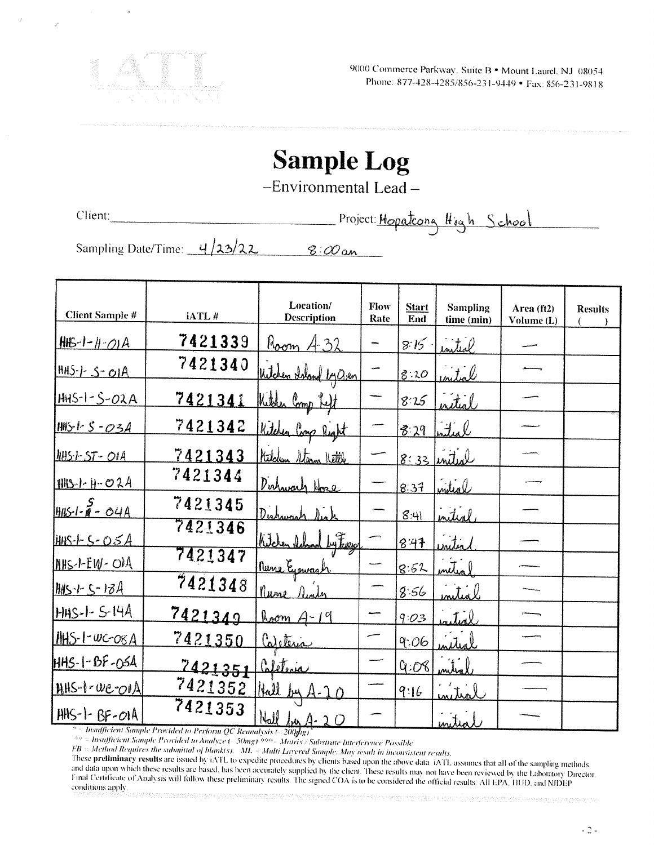

## **Sample Log**

-Environmental Lead-

Client:

Project: Mopatrong High School

Sampling Date/Time: 4/23/22  $8:00$  an

|                         |         | Location/                | Flow | <b>Start</b> | <b>Sampling</b> | Area (ft2) | <b>Results</b> |
|-------------------------|---------|--------------------------|------|--------------|-----------------|------------|----------------|
| <b>Client Sample #</b>  | iATL#   | <b>Description</b>       | Rate | End          | time (min)      | Volume (L) |                |
| $HIB-I-H-OIA$           | 7421339 | $B_{\rm ocm}$ $A_{32}$   |      | 8:15         | inited          |            |                |
| $HHS - 5 - OIA$         | 7421340 | Witchen thand by Oven    |      | 8:20         | nital           |            |                |
| $HHS-1-S-O2A$           | 7421341 | Kitchen Comp Reft        |      | 8:25         | <u>nitial</u>   |            |                |
| <u> 1415 l- S - 034</u> | 7421342 | Kitchen Comp Right       |      | 8:29         | interl          |            |                |
| 1145-1-5T-01A           | 7421343 | Kitchen Steam Kettle     |      |              | $8:33$ initial  |            |                |
| $HHS-I - H - O 2A$      | 7421344 | Dishwark Hore            |      | 8:37         | intial          |            |                |
| $rac{5}{19451-8}$ - 04A | 7421345 | Dishung                  |      | 8:41         | interl          |            |                |
| <u>HHS-1-5-05A</u>      | 7421346 | $\frac{1}{2}$<br>Kitchen |      | 8.47         | initia          |            |                |
| MHS-1-EW-OIA            | 7421347 | <u>Nune Egowash</u>      |      | 8.52         |                 |            |                |
| $1945 - 5 - 134$        | 7421348 | nune                     |      | 8.56         | nitial          |            |                |
| HHS-1-S-14A             | 7421349 | Room A-19                |      | 9:03         | ntial           |            |                |
| $14H5$ -1- $wc$ -08 $A$ | 7421350 | <u>Careteria</u>         |      | 9:06         | nitial          |            |                |
| HHS-1-BF-0SA            | 7421351 | Caleteria                |      | Q:OC         |                 |            |                |
| $HHS-1\nu e\nu A$       | 7421352 | Hall by                  |      | 9:16         |                 |            |                |
| HHS-1-BF-01A            | 7421353 | $Nall$ for $A-2O$        |      |              | بالمداني        |            |                |

<sup>3</sup> = Insufficient Sample Provided to Perform QC Reanalysis (<200y/13)

*And Schwarfficient Sample Provided to Analyze (~50mg)*  $\frac{368}{280}$  *Matrix/Substrate Interference Possible*<br>*FB* = Method Requires the submittal of blankts). ML = Multi Layered Sample. May result in inconsistent results

These preliminary results are issued by fATL to expedite procedures by clients based upon the above data *iATL* assumes that all of the sampling methods and data upon which these results are based, has been accurately supplied by the client. These results may not have been reviewed by the Laboratory Director. Final Certificate of Analysis will follow these preliminary results. The signed COA is to be considered the official results. All EPA, HUD, and NJDEP conditions apply .<br>The control of the control of the control of the control of the control of the control of the control of the c

 $-2-$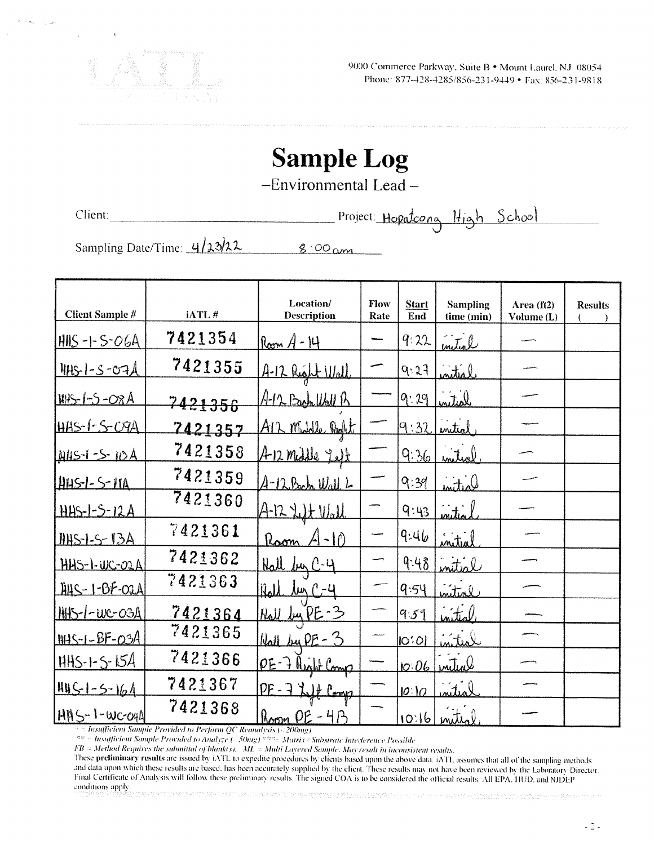

# **Sample Log**

-Environmental Lead-

Client:

Project: Hopatoong High School

Sampling Date/Time: 4/23/22 8:00 am

| <b>Client Sample #</b> | iATL#   | Location/<br><b>Description</b>  | Flow<br>Rate | <b>Start</b><br>End | <b>Sampling</b><br>time (min) | Area (ft2)<br>Volume (L) | <b>Results</b> |
|------------------------|---------|----------------------------------|--------------|---------------------|-------------------------------|--------------------------|----------------|
| $HHS -1 - S-OGA$       | 7421354 | ${\rm Res}_{M} A - {\rm H}$      |              | 9:22                | initial                       |                          |                |
| <u> IHS-1-S-07A</u>    | 7421355 | A-12 Right Wall                  |              | 9.27                | initial                       |                          |                |
| <u>WAS-1-5-08A</u>     | 7421356 | <u>A-12 Bach Wall B</u>          |              | 9:29                | untid                         |                          |                |
| <u> HAS-1-S-O9A</u>    | 7421357 | AIZ meddle Porkt                 |              | 9:32                | initial                       |                          |                |
| Allis-1-5-10A          | 7421358 | A-12 mille felt                  |              | Q:36                | Witw                          |                          |                |
| <u>HAS-1-S-11A</u>     | 7421359 | $A-12$ Bach $W_0$ ll L           |              | 9:39                | initial                       |                          |                |
| <u> HHS-1-5-12A</u>    | 7421360 | $A-12$ $L1$ $L1$                 |              | 9:43                | <br>www.                      |                          |                |
| $HHS-1-S-13A$          | 7421361 | $A - 10$<br>Raom                 |              | 9.46                | initial                       |                          |                |
| HHS-1-WC-O2A           | 7421362 | Hall by C-4                      |              | 9.48                | mitial                        |                          |                |
| 1145-1-BF-02A          | 7421363 | <u>lun ( -4</u><br><u>Iilall</u> |              | 9:54                | initial                       |                          |                |
| HHS-1-WC-03A           | 7421364 | <u>Rall by PE-3</u>              |              | 9:59                | initeal                       |                          |                |
| $IMS-I-BF-03A$         | 7421365 | <u>Wall by PE - 3</u>            |              | $ O^{\ast}O $       | <u>initial</u>                |                          |                |
| $HHS-1-5-15A$          | 7421366 | OE-7 Right Comp                  |              | 10.06               | initial                       |                          |                |
| $1415 - 1 - 5 - 164$   | 7421367 | PE-7 Lift Comp                   |              | [0:]0               | nital                         |                          |                |
| <b>IANS-1-WC-04A</b>   | 7421368 | Room $OE - 4P_2$                 |              |                     | $10.16$ mited                 |                          |                |

<sup>3</sup> = Insufficient Sample Provided to Perform QC Reanalysis (<200mg)

60 = Insufficient Sample Provided to Analyze (~ 50mg) 600 = Matrix / Substrate Interference Possible

FB = Method Requires the submittal of blankts). ML = Multi Layered Sample. May result in inconsistent results.

These preliminary results are issued by IATL to expedite procedures by clients based upon the above data. IATL assumes that all of the sampling methods and data upon which these results are based, has been accurately supplied by the client. These results may not have been reviewed by the Laboratory Director. Final Certificate of Analysis will follow these preliminary results. The signed COA is to be considered the official results. All EPA, HUD, and NJDEP conditions apply.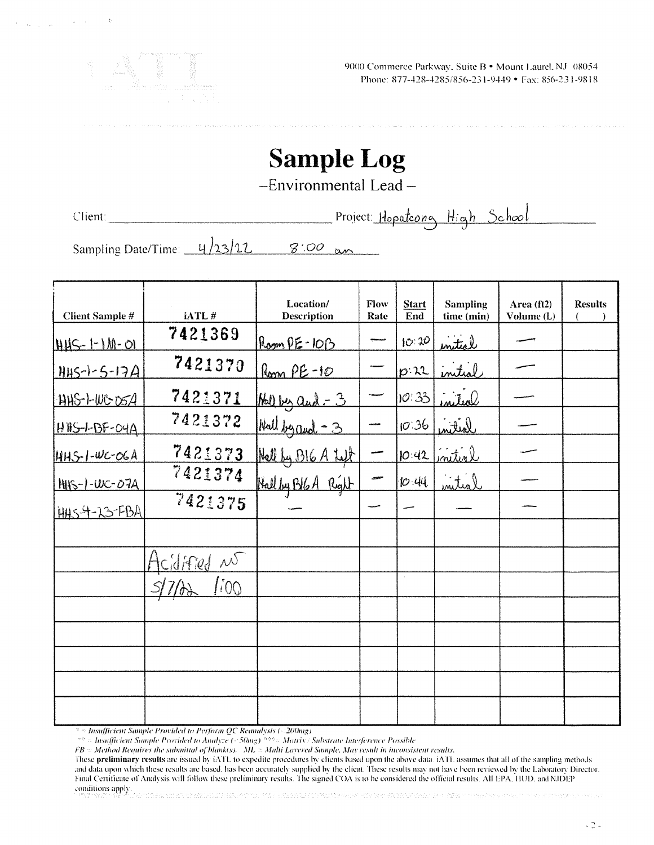

9000 Commerce Parkway, Suite B · Mount Laurel, NJ 08054 Phone: 877-428-4285/856-231-9449 • Fax: 856-231-9818

# **Sample Log**

-Environmental Lead-

Client:

Project: Hopateong High School

Sampling Date/Time: 4/23/22  $8'00$  an

| <b>Client Sample #</b>      | iATL#         | Location/<br><b>Description</b> | Flow<br>Rate | <b>Start</b><br>End | <b>Sampling</b><br>time (min) | Area (ft2)<br>Volume (L) | <b>Results</b> |
|-----------------------------|---------------|---------------------------------|--------------|---------------------|-------------------------------|--------------------------|----------------|
| <u> 1445 - 1 - 1 M - 01</u> | 7421369       | $RoomPE-IOB$                    |              | 10:30               | initial                       |                          |                |
| $HHS - 1 - 5 - 17A$         | 7421370       | Room PE-10                      |              | $p:\mathcal{X}$     | initial                       |                          |                |
| HHS-1-WG-05A                | 7421371       | $M$ by and $-3$                 |              | $10^{7}33$          | inited                        |                          |                |
| $HIBS-I-BF-O4A$             | 7421372       | Wall by and -3                  |              | $10^{136}$          | loitin                        |                          |                |
| $HHS-I-UC-OSA$              | 7421373       | Hall by BIG A Left              |              | 10:42               | initial                       |                          |                |
| <u> MIS-1-WC-07A</u>        | 7421374       | Hall by BIGA Right              |              | 10.44               | <u>initial</u>                |                          |                |
| HAS 4-23-FBA                | 7421375       |                                 |              |                     |                               |                          |                |
|                             |               |                                 |              |                     |                               |                          |                |
|                             | Acidified no  |                                 |              |                     |                               |                          |                |
|                             | <i>[i</i> OQ] |                                 |              |                     |                               |                          |                |
|                             |               |                                 |              |                     |                               |                          |                |
|                             |               |                                 |              |                     |                               |                          |                |
|                             |               |                                 |              |                     |                               |                          |                |
|                             |               |                                 |              |                     |                               |                          |                |
|                             |               |                                 |              |                     |                               |                          |                |

<sup>2</sup> > Insufficient Sample Provided to Perform QC Reanalysis (<200mg)

 $\frac{32}{100}$  = Insufficient Sample Provided to Analyze ( $\frac{300}{100}$ )  $\frac{300}{100}$  = Martix / Substrate Interference Possible<br>FB = Method Requires the submittal of blank(s). ML = Multi Layered Sample. May result in inco

These preliminary results are issued by iATL to expedite procedures by clients based upon the above data. iATL assumes that all of the sampling methods and data upon which these results are based, has been accurately supplied by the client. These results may not have been reviewed by the Laboratory Director. Final Certificate of Analysis will follow these preliminary results. The signed COA is to be considered the official results. All EPA, HUD, and NJDEP conditions apply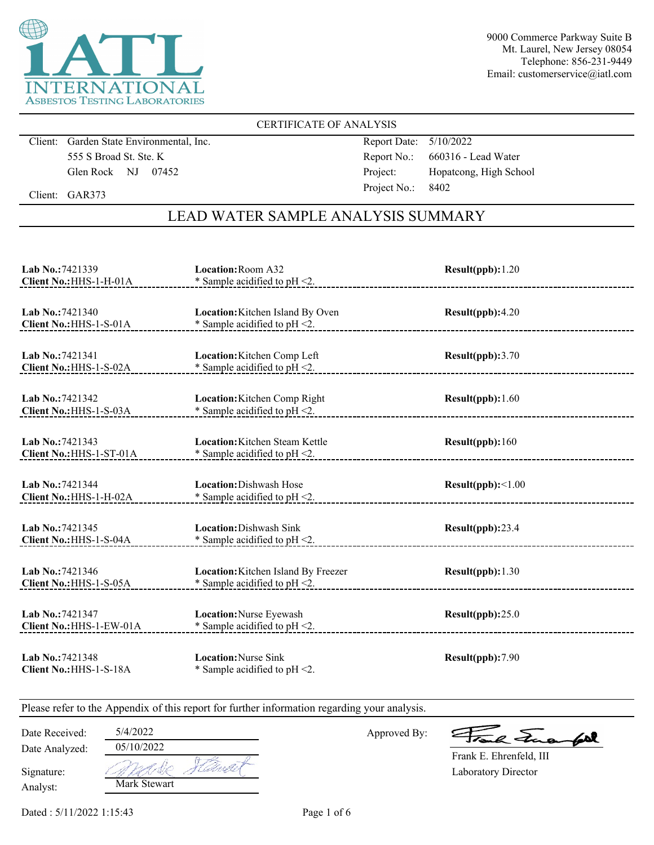

#### CERTIFICATE OF ANALYSIS

Client: Garden State Environmental, Inc. 555 S Broad St. Ste. K Glen Rock NJ 07452

Report Date: 5/10/2022 Report No.: 660316 - Lead Water Project: Hopatcong, High School Project No.: 8402

Client: GAR373

## LEAD WATER SAMPLE ANALYSIS SUMMARY

| Lab No.: 7421339                             | <b>Location: Room A32</b>                                          | Result(ppb): 1.20 |
|----------------------------------------------|--------------------------------------------------------------------|-------------------|
| Client No.: HHS-1-H-01A                      | * Sample acidified to $pH < 2$ .                                   |                   |
| Lab No.: 7421340                             | Location: Kitchen Island By Oven                                   | Result(ppb):4.20  |
| Client No.: HHS-1-S-01A                      | * Sample acidified to $pH < 2$ .                                   |                   |
| Lab No.: 7421341                             | Location: Kitchen Comp Left                                        | Result(ppb):3.70  |
| Client No.: HHS-1-S-02A                      | * Sample acidified to $pH < 2$ .                                   |                   |
| Lab No.: 7421342                             | Location: Kitchen Comp Right                                       | Result(ppb): 1.60 |
| Client No.: HHS-1-S-03A                      | * Sample acidified to pH <2.                                       |                   |
| Lab No.: 7421343<br>Client No.: HHS-1-ST-01A | Location: Kitchen Steam Kettle<br>* Sample acidified to $pH < 2$ . | Result(ppb): 160  |
| Lab No.: 7421344                             | Location: Dishwash Hose                                            | Result(ppb):<1.00 |
| Client No.: HHS-1-H-02A                      | * Sample acidified to pH <2.                                       |                   |
| Lab No.: 7421345<br>Client No.: HHS-1-S-04A  | <b>Location:</b> Dishwash Sink<br>* Sample acidified to $pH < 2$ . | Result(ppb):23.4  |
| Lab No.: 7421346                             | Location: Kitchen Island By Freezer                                | Result(ppb):1.30  |
| Client No.: HHS-1-S-05A                      | * Sample acidified to $pH < 2$ .                                   |                   |
| Lab No.: 7421347<br>Client No.: HHS-1-EW-01A | Location: Nurse Eyewash<br>* Sample acidified to $pH < 2$ .        | Result(ppb):25.0  |
| Lab No.: 7421348<br>Client No.: HHS-1-S-18A  | <b>Location: Nurse Sink</b><br>* Sample acidified to $pH < 2$ .    | Result(ppb): 7.90 |

Please refer to the Appendix of this report for further information regarding your analysis.

Date Received: 5/4/2022

Date Analyzed:

Approved By:

a Juan fall

Laboratory Director Frank E. Ehrenfeld, III

Analyst: Signature: Mark Stewart

05/10/2022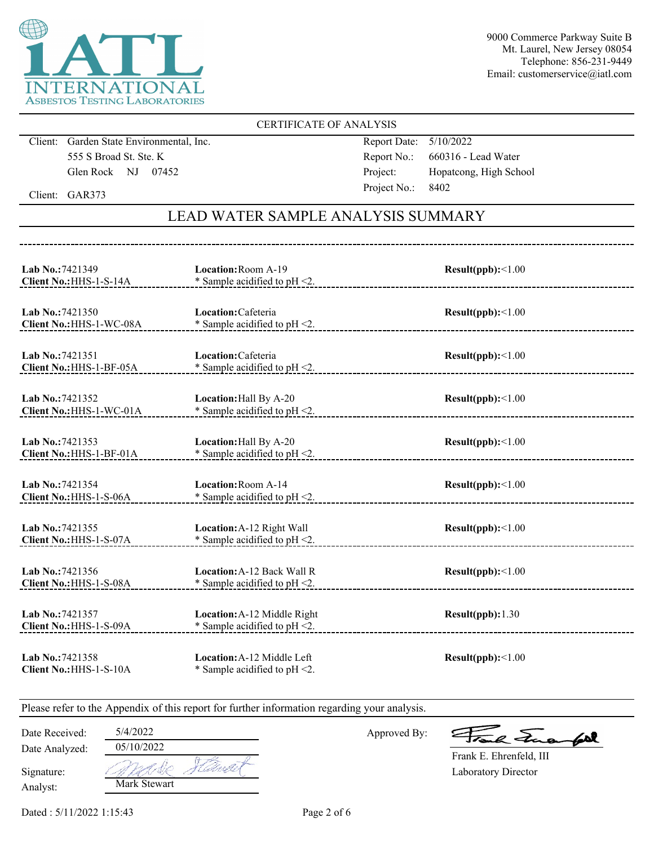

#### CERTIFICATE OF ANALYSIS

Client: Garden State Environmental, Inc. 555 S Broad St. Ste. K Glen Rock NJ 07452

Report Date: 5/10/2022 Report No.: 660316 - Lead Water Project: Hopatcong, High School Project No.: 8402

Client: GAR373

## LEAD WATER SAMPLE ANALYSIS SUMMARY

| Lab No.: 7421349<br>Client No.: HHS-1-S-14A  | Location: Room A-19<br>* Sample acidified to $pH < 2$ .         | Result(ppb):<1.00 |
|----------------------------------------------|-----------------------------------------------------------------|-------------------|
| Lab No.: 7421350<br>Client No.: HHS-1-WC-08A | Location: Cafeteria<br>* Sample acidified to $pH < 2$ .         | Result(ppb):<1.00 |
| Lab No.: 7421351<br>Client No.: HHS-1-BF-05A | Location: Cafeteria<br>* Sample acidified to pH <2.             | Result(ppb):<1.00 |
| Lab No.: 7421352<br>Client No.: HHS-1-WC-01A | Location: Hall By A-20<br>* Sample acidified to $pH < 2$ .      | Result(ppb):<1.00 |
| Lab No.: 7421353<br>Client No.: HHS-1-BF-01A | Location: Hall By A-20<br>$*$ Sample acidified to pH $\leq$ 2.  | Result(ppb):<1.00 |
| Lab No.: 7421354<br>Client No.: HHS-1-S-06A  | <b>Location: Room A-14</b><br>* Sample acidified to pH <2.      | Result(ppb):<1.00 |
| Lab No.: 7421355<br>Client No.: HHS-1-S-07A  | Location: A-12 Right Wall<br>* Sample acidified to $pH < 2$ .   | Result(ppb):<1.00 |
| Lab No.: 7421356<br>Client No.: HHS-1-S-08A  | Location: A-12 Back Wall R<br>* Sample acidified to $pH < 2$ .  | Result(ppb):<1.00 |
| Lab No.: 7421357<br>Client No.: HHS-1-S-09A  | Location: A-12 Middle Right<br>* Sample acidified to $pH < 2$ . | Result(ppb): 1.30 |
| Lab No.: 7421358<br>Client No.: HHS-1-S-10A  | Location: A-12 Middle Left<br>* Sample acidified to $pH < 2$ .  | Result(ppb):<1.00 |

Please refer to the Appendix of this report for further information regarding your analysis.

Date Analyzed: Date Received: 5/4/2022

Approved By:

a Jua for

Laboratory Director Frank E. Ehrenfeld, III

Analyst: Signature:

Mark Stewart 05/10/2022

Dated : 5/11/2022 1:15:43 Page 2 of 6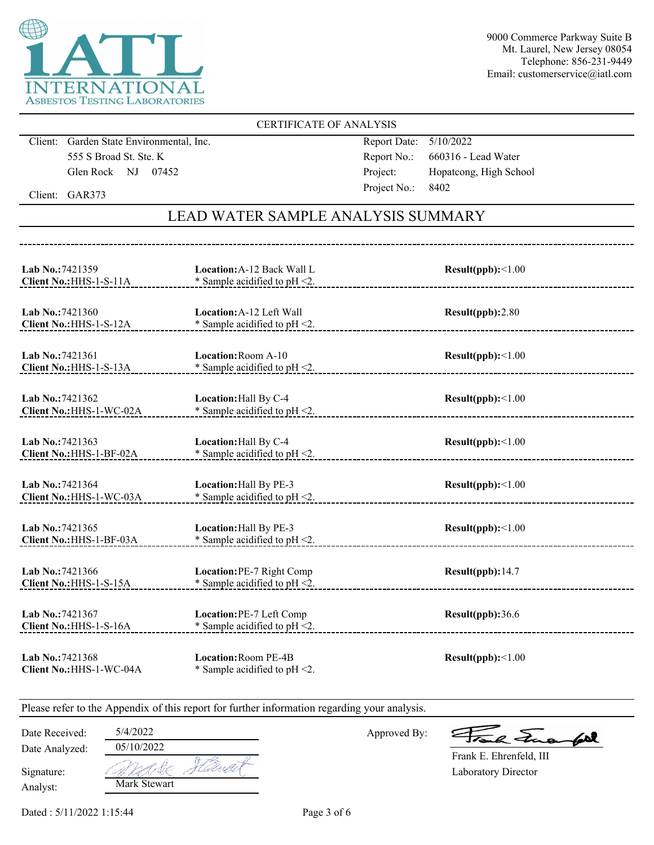

#### CERTIFICATE OF ANALYSIS

Client: Garden State Environmental, Inc. 555 S Broad St. Ste. K Glen Rock NJ 07452

Report Date: 5/10/2022 Report No.: 660316 - Lead Water Project: Hopatcong, High School Project No.: 8402

Client: GAR373

## LEAD WATER SAMPLE ANALYSIS SUMMARY

| Lab No.: 7421359<br>Client No.: HHS-1-S-11A  | <b>Location: A-12 Back Wall L</b><br>* Sample acidified to pH <2.   | Result(ppb):<1.00        |
|----------------------------------------------|---------------------------------------------------------------------|--------------------------|
| Lab No.: 7421360<br>Client No.: HHS-1-S-12A  | <b>Location: A-12 Left Wall</b><br>* Sample acidified to $pH < 2$ . | Result(ppb):2.80         |
| Lab No.: 7421361<br>Client No.: HHS-1-S-13A  | Location: Room A-10<br>* Sample acidified to pH <2.                 | $Result(ppb): \leq 1.00$ |
| Lab No.: 7421362<br>Client No.: HHS-1-WC-02A | Location: Hall By C-4<br>* Sample acidified to $pH < 2$ .           | Result(ppb):<1.00        |
| Lab No.: 7421363<br>Client No.: HHS-1-BF-02A | Location: Hall By C-4<br>$*$ Sample acidified to pH $\leq$ 2.       | Result(ppb):<1.00        |
| Lab No.:7421364<br>Client No.: HHS-1-WC-03A  | Location: Hall By PE-3<br>* Sample acidified to pH <2.              | Result(ppb):<1.00        |
| Lab No.: 7421365<br>Client No.: HHS-1-BF-03A | Location: Hall By PE-3<br>* Sample acidified to pH <2.              | Result(ppb):<1.00        |
| Lab No.: 7421366<br>Client No.: HHS-1-S-15A  | Location: PE-7 Right Comp<br>* Sample acidified to pH <2.           | Result(ppb):14.7         |
| Lab No.: 7421367<br>Client No.: HHS-1-S-16A  | Location: PE-7 Left Comp<br>* Sample acidified to $pH < 2$ .        | Result(ppb):36.6         |
| Lab No.: 7421368<br>Client No.: HHS-1-WC-04A | Location: Room PE-4B<br>* Sample acidified to $pH < 2$ .            | Result(ppb):<1.00        |

Please refer to the Appendix of this report for further information regarding your analysis.

Date Received: 5/4/2022

Date Analyzed:

Approved By:

a Jua for

Laboratory Director Frank E. Ehrenfeld, III

Analyst: Signature:

Mark Stewart 05/10/2022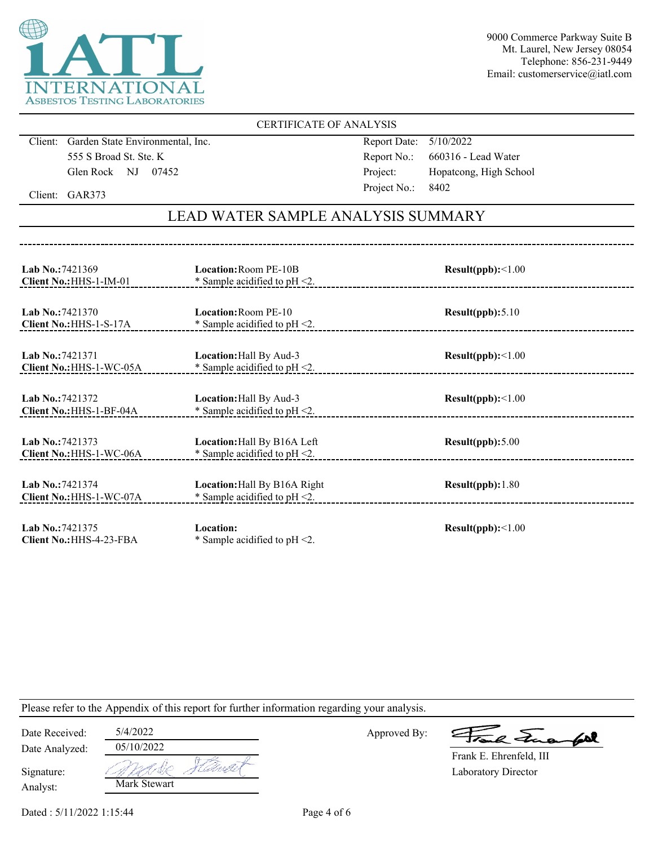

#### CERTIFICATE OF ANALYSIS

Client: Garden State Environmental, Inc. 555 S Broad St. Ste. K Glen Rock NJ 07452

Report Date: 5/10/2022 Report No.: 660316 - Lead Water Project: Hopatcong, High School Project No.: 8402

Client: GAR373

## LEAD WATER SAMPLE ANALYSIS SUMMARY

| Lab No.: 7421369<br>Client No.: HHS-1-IM-01       | <b>Location: Room PE-10B</b><br>* Sample acidified to $pH < 2$ . | Result(ppb):<1.00 |
|---------------------------------------------------|------------------------------------------------------------------|-------------------|
| <b>Lab No.:7421370</b><br>Client No.: HHS-1-S-17A | <b>Location: Room PE-10</b><br>* Sample acidified to $pH < 2$ .  | Result(ppb): 5.10 |
| Lab No.: 7421371<br>Client No.: HHS-1-WC-05A      | Location: Hall By Aud-3<br>* Sample acidified to $pH < 2$ .      | Result(ppb):<1.00 |
| Lab No.: 7421372<br>Client No.: HHS-1-BF-04A      | Location: Hall By Aud-3<br>* Sample acidified to $pH < 2$ .      | Result(ppb):<1.00 |
| Lab No.: 7421373<br>Client No.: HHS-1-WC-06A      | Location: Hall By B16A Left<br>* Sample acidified to $pH < 2$ .  | Result(ppb): 5.00 |
| Lab No.: 7421374<br>Client No.: HHS-1-WC-07A      | Location: Hall By B16A Right<br>* Sample acidified to $pH < 2$ . | Result(ppb): 1.80 |
| Lab No.: 7421375<br>Client No.: HHS-4-23-FBA      | <b>Location:</b><br>* Sample acidified to $pH < 2$ .             | Result(ppb):<1.00 |

Please refer to the Appendix of this report for further information regarding your analysis.

| Date Received:         | 5/4/2022     |  |
|------------------------|--------------|--|
| Date Analyzed:         | 05/10/2022   |  |
| Signature:<br>Analyst: | Mark Stewart |  |

Approved By:

a Jua fol

Laboratory Director Frank E. Ehrenfeld, III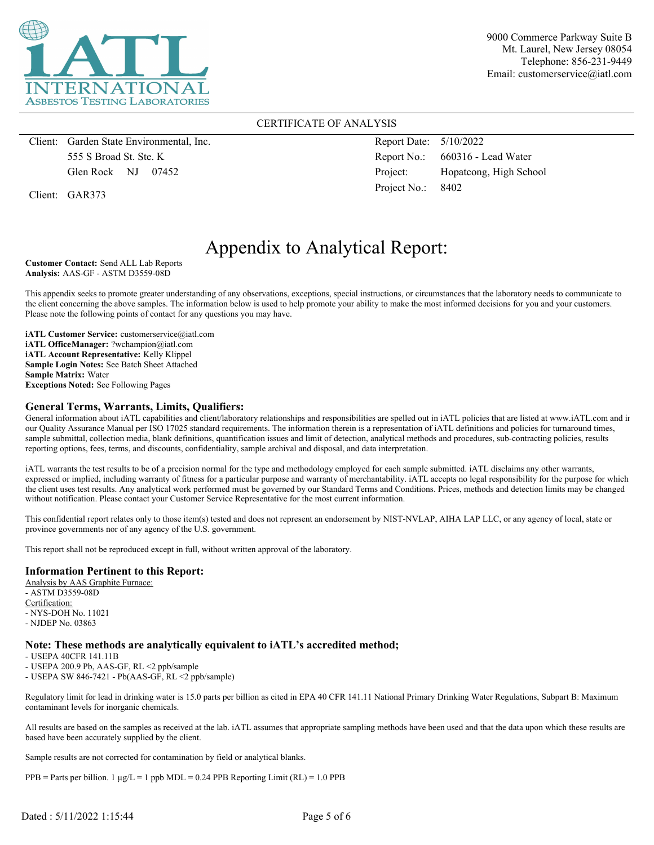

#### CERTIFICATE OF ANALYSIS

Client: Garden State Environmental, Inc. 555 S Broad St. Ste. K Glen Rock NJ 07452

Client: GAR373

Report Date: 5/10/2022 Report No.: 660316 - Lead Water Project: Hopatcong, High School Project No.: 8402

## Appendix to Analytical Report:

**Customer Contact:** Send ALL Lab Reports **Analysis:** AAS-GF - ASTM D3559-08D

This appendix seeks to promote greater understanding of any observations, exceptions, special instructions, or circumstances that the laboratory needs to communicate to the client concerning the above samples. The information below is used to help promote your ability to make the most informed decisions for you and your customers. Please note the following points of contact for any questions you may have.

**iATL Customer Service:** customerservice@iatl.com **iATL OfficeManager:** ?wchampion@iatl.com **iATL Account Representative:** Kelly Klippel **Sample Login Notes:** See Batch Sheet Attached **Sample Matrix:** Water **Exceptions Noted:** See Following Pages

#### **General Terms, Warrants, Limits, Qualifiers:**

General information about iATL capabilities and client/laboratory relationships and responsibilities are spelled out in iATL policies that are listed at www.iATL.com and in our Quality Assurance Manual per ISO 17025 standard requirements. The information therein is a representation of iATL definitions and policies for turnaround times, sample submittal, collection media, blank definitions, quantification issues and limit of detection, analytical methods and procedures, sub-contracting policies, results reporting options, fees, terms, and discounts, confidentiality, sample archival and disposal, and data interpretation.

iATL warrants the test results to be of a precision normal for the type and methodology employed for each sample submitted. iATL disclaims any other warrants, expressed or implied, including warranty of fitness for a particular purpose and warranty of merchantability. iATL accepts no legal responsibility for the purpose for which the client uses test results. Any analytical work performed must be governed by our Standard Terms and Conditions. Prices, methods and detection limits may be changed without notification. Please contact your Customer Service Representative for the most current information.

This confidential report relates only to those item(s) tested and does not represent an endorsement by NIST-NVLAP, AIHA LAP LLC, or any agency of local, state or province governments nor of any agency of the U.S. government.

This report shall not be reproduced except in full, without written approval of the laboratory.

#### **Information Pertinent to this Report:**

Analysis by AAS Graphite Furnace: - ASTM D3559-08D Certification: - NYS-DOH No. 11021 - NJDEP No. 03863

#### **Note: These methods are analytically equivalent to iATL's accredited method;**

- USEPA 40CFR 141.11B

- USEPA 200.9 Pb, AAS-GF, RL <2 ppb/sample

- USEPA SW 846-7421 - Pb(AAS-GF, RL <2 ppb/sample)

Regulatory limit for lead in drinking water is 15.0 parts per billion as cited in EPA 40 CFR 141.11 National Primary Drinking Water Regulations, Subpart B: Maximum contaminant levels for inorganic chemicals.

All results are based on the samples as received at the lab. iATL assumes that appropriate sampling methods have been used and that the data upon which these results are based have been accurately supplied by the client.

Sample results are not corrected for contamination by field or analytical blanks.

 $PPB =$  Parts per billion. 1  $\mu g/L = 1$  ppb MDL = 0.24 PPB Reporting Limit (RL) = 1.0 PPB